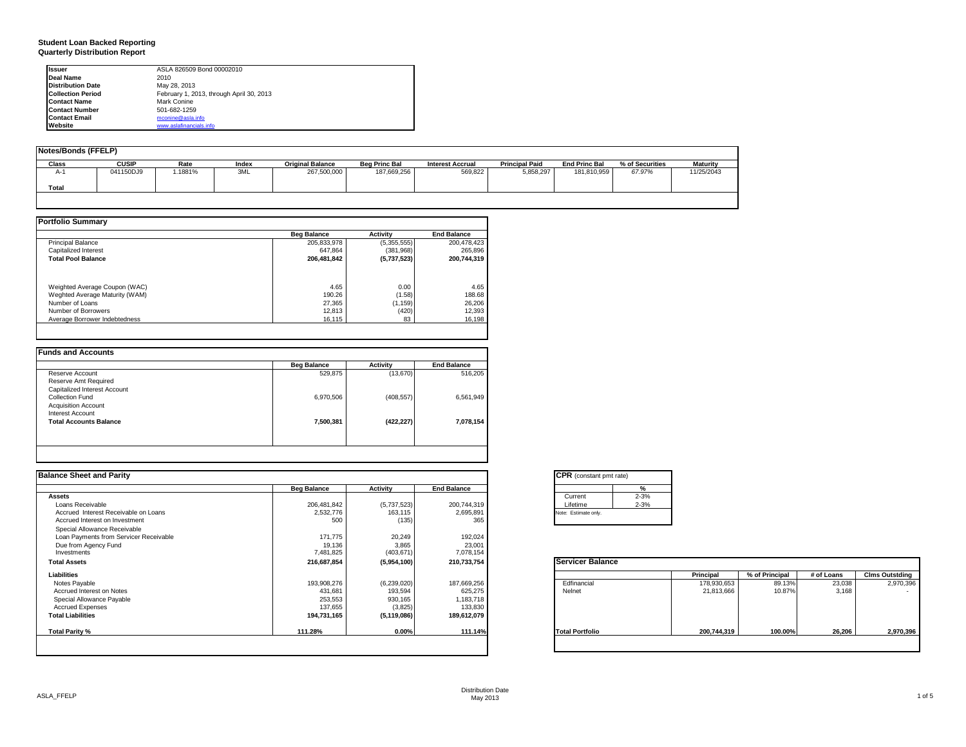# **Student Loan Backed Reporting Quarterly Distribution Report**

| <b>Issuer</b>            | ASLA 826509 Bond 00002010                |
|--------------------------|------------------------------------------|
| Deal Name                | 2010                                     |
| <b>Distribution Date</b> | May 28, 2013                             |
| <b>Collection Period</b> | February 1, 2013, through April 30, 2013 |
| <b>Contact Name</b>      | Mark Conine                              |
| <b>Contact Number</b>    | 501-682-1259                             |
| <b>Contact Email</b>     | mconine@asla.info                        |
| Website                  | www.aslafinancials.info                  |

| Notes/Bonds (FFELP) |              |         |       |                         |                      |                         |                       |                      |                 |                 |
|---------------------|--------------|---------|-------|-------------------------|----------------------|-------------------------|-----------------------|----------------------|-----------------|-----------------|
| <b>Class</b>        | <b>CUSIP</b> | Rate    | Index | <b>Original Balance</b> | <b>Beg Princ Bal</b> | <b>Interest Accrual</b> | <b>Principal Paid</b> | <b>End Princ Bal</b> | % of Securities | <b>Maturity</b> |
| $A-1$               | 041150DJ9    | '.1881% | 3ML   | 267,500,000             | 187,669,256          | 569,822                 | 5,858,297             | 181.810.959          | 67.97%          | 11/25/2043      |
| Total               |              |         |       |                         |                      |                         |                       |                      |                 |                 |
|                     |              |         |       |                         |                      |                         |                       |                      |                 |                 |

|                                | <b>Beg Balance</b> | <b>Activity</b> | <b>End Balance</b> |
|--------------------------------|--------------------|-----------------|--------------------|
| <b>Principal Balance</b>       | 205,833,978        | (5,355,555)     | 200.478.423        |
| Capitalized Interest           | 647.864            | (381,968)       | 265.896            |
| <b>Total Pool Balance</b>      | 206,481,842        | (5,737,523)     | 200.744.319        |
| Weighted Average Coupon (WAC)  | 4.65               | 0.00            | 4.65               |
| Weghted Average Maturity (WAM) | 190.26             | (1.58)          | 188.68             |
| Number of Loans                | 27.365             | (1, 159)        | 26,206             |
| Number of Borrowers            | 12,813             | (420)           | 12,393             |
| Average Borrower Indebtedness  | 16.115             | 83              | 16,198             |

| 516,205   | (13,670)   | 529,875   |                               |
|-----------|------------|-----------|-------------------------------|
|           |            |           | Reserve Account               |
|           |            |           | Reserve Amt Required          |
|           |            |           | Capitalized Interest Account  |
| 6,561,949 | (408, 557) | 6,970,506 | Collection Fund               |
|           |            |           | <b>Acquisition Account</b>    |
|           |            |           | Interest Account              |
| 7,078,154 | (422, 227) | 7,500,381 | <b>Total Accounts Balance</b> |
|           |            |           |                               |

| <b>Balance Sheet and Parity</b>        |                    |               |                    | <b>CPR</b> (constant pmt rate) |             |                |            |                       |
|----------------------------------------|--------------------|---------------|--------------------|--------------------------------|-------------|----------------|------------|-----------------------|
|                                        | <b>Beg Balance</b> | Activity      | <b>End Balance</b> | %                              |             |                |            |                       |
| <b>Assets</b>                          |                    |               |                    | $2 - 3%$<br>Current            |             |                |            |                       |
| Loans Receivable                       | 206,481,842        | (5,737,523)   | 200,744,319        | $2 - 3%$<br>Lifetime           |             |                |            |                       |
| Accrued Interest Receivable on Loans   | 2,532,776          | 163,115       | 2,695,891          | Note: Estimate only.           |             |                |            |                       |
| Accrued Interest on Investment         | 500                | (135)         | 365                |                                |             |                |            |                       |
| Special Allowance Receivable           |                    |               |                    |                                |             |                |            |                       |
| Loan Payments from Servicer Receivable | 171,775            | 20,249        | 192,024            |                                |             |                |            |                       |
| Due from Agency Fund                   | 19,136             | 3,865         | 23,001             |                                |             |                |            |                       |
| Investments                            | 7,481,825          | (403, 671)    | 7,078,154          |                                |             |                |            |                       |
| <b>Total Assets</b>                    | 216,687,854        | (5,954,100)   | 210,733,754        | <b>Servicer Balance</b>        |             |                |            |                       |
| Liabilities                            |                    |               |                    |                                | Principal   | % of Principal | # of Loans | <b>Cims Outstding</b> |
| Notes Payable                          | 193,908,276        | (6,239,020)   | 187,669,256        | Edfinancial                    | 178,930,653 | 89.13%         | 23,038     | 2,970,396             |
| Accrued Interest on Notes              | 431,681            | 193,594       | 625,275            | Nelnet                         | 21,813,666  | 10.87%         | 3.168      | . .                   |
| Special Allowance Payable              | 253,553            | 930,165       | 1,183,718          |                                |             |                |            |                       |
| <b>Accrued Expenses</b>                | 137,655            | (3,825)       | 133,830            |                                |             |                |            |                       |
| <b>Total Liabilities</b>               | 194,731,165        | (5, 119, 086) | 189,612,079        |                                |             |                |            |                       |
| Total Parity %                         | 111.28%            | $0.00\%$      | 111.14%            | <b>Total Portfolio</b>         | 200,744,319 | 100.00%        | 26,206     | 2,970,396             |
|                                        |                    |               |                    |                                |             |                |            |                       |
|                                        |                    |               |                    |                                |             |                |            |                       |

|          | %        |
|----------|----------|
| Current  | $2 - 3%$ |
| Lifetime | $2 - 3%$ |

|                        | Principal   | % of Principal | # of Loans | <b>Clms Outstding</b> |
|------------------------|-------------|----------------|------------|-----------------------|
| Edfinancial            | 178,930,653 | 89.13%         | 23,038     | 2,970,396             |
| Nelnet                 | 21,813,666  | 10.87%         | 3,168      |                       |
| <b>Total Portfolio</b> | 200,744,319 | 100.00%        | 26,206     | 2,970,396             |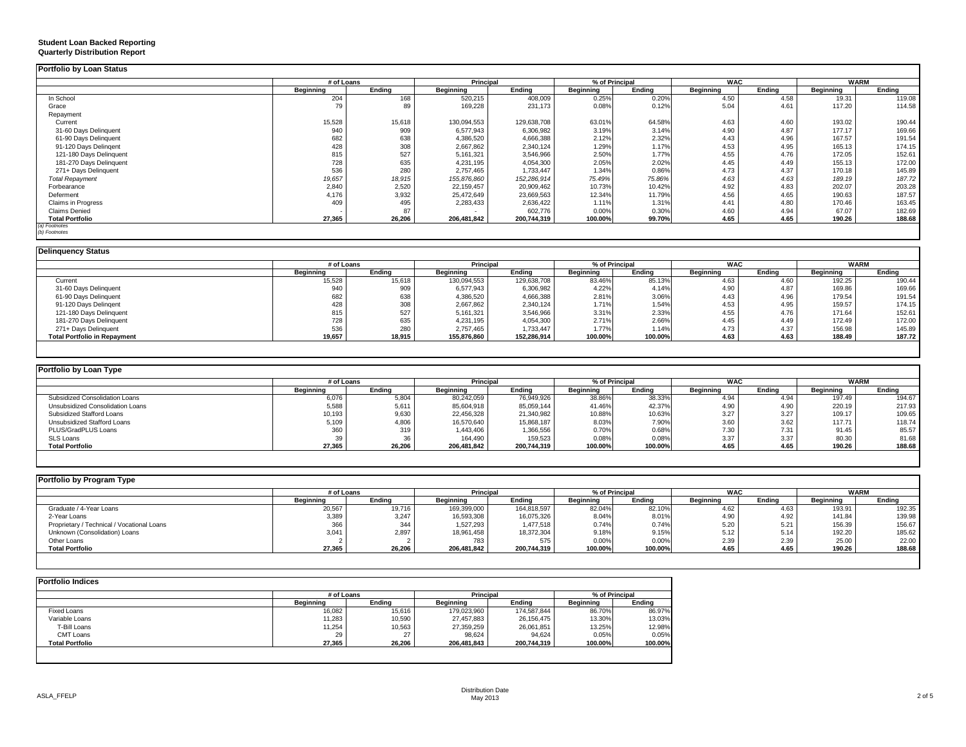| Portfolio by Loan Status                                  |                  |                |                      |                         |                  |                |                  |              |                  |                 |
|-----------------------------------------------------------|------------------|----------------|----------------------|-------------------------|------------------|----------------|------------------|--------------|------------------|-----------------|
|                                                           | # of Loans       |                | Principal            |                         |                  | % of Principal | <b>WAC</b>       |              |                  | <b>WARM</b>     |
|                                                           | <b>Beginning</b> | Ending         | <b>Beginning</b>     | Ending                  | <b>Beginning</b> | Ending         | <b>Beginning</b> | Ending       | <b>Beginning</b> | Ending          |
| In School                                                 | 204              | 168            | 520,215              | 408,009                 | 0.25%            | 0.20%          | 4.50             | 4.58         | 19.31            | 119.08          |
| Grace                                                     | 79               | 89             | 169,228              | 231,173                 | 0.08%            | 0.12%          | 5.04             | 4.61         | 117.20           | 114.58          |
| Repayment                                                 |                  |                |                      |                         |                  |                |                  |              |                  |                 |
| Current                                                   | 15,528           | 15,618         | 130,094,553          | 129,638,708             | 63.01%           | 64.58%         | 4.63             | 4.60         | 193.02           | 190.44          |
| 31-60 Days Delinquent                                     | 940              | 909            | 6,577,943            | 6,306,982               | 3.19%            | 3.14%          | 4.90             | 4.87         | 177.17           | 169.66          |
| 61-90 Days Delinquent                                     | 682              | 638            | 4,386,520            | 4,666,388               | 2.12%            | 2.32%          | 4.43             | 4.96         | 167.57           | 191.54          |
| 91-120 Days Delingent                                     | 428              | 308            | 2,667,862            | 2,340,124               | 1.29%            | 1.17%          | 4.53             | 4.95         | 165.13           | 174.15          |
| 121-180 Days Delinquent                                   | 815              | 527            | 5,161,321            | 3,546,966               | 2.50%            | 1.77%          | 4.55             | 4.76         | 172.05           | 152.61          |
| 181-270 Days Delinquent                                   | 728              | 635            | 4,231,195            | 4,054,300               | 2.05%            | 2.02%          | 4.45             | 4.49         | 155.13           | 172.00          |
| 271+ Days Delinquent                                      | 536              | 280            | 2,757,465            | 1,733,447               | 1.34%            | 0.86%          | 4.73             | 4.37         | 170.18           | 145.89          |
| <b>Total Repayment</b>                                    | 19,657           | 18,915         | 155,876,860          | 152,286,914             | 75.49%           | 75.86%         | 4.63             | 4.63         | 189.19           | 187.72          |
| Forbearance                                               | 2,840            | 2,520          | 22,159,457           | 20,909,462              | 10.73%           | 10.42%         | 4.92             | 4.83         | 202.07           | 203.28          |
| Deferment                                                 | 4,176            | 3,932          | 25,472,649           | 23,669,563              | 12.34%           | 11.79%         | 4.56             | 4.65         | 190.63           | 187.57          |
| Claims in Progress                                        | 409              | 495            | 2,283,433            | 2,636,422               | 1.11%            | 1.31%          | 4.41             | 4.80         | 170.46           | 163.45          |
| <b>Claims Denied</b>                                      |                  | 87             |                      | 602,776                 | 0.00%            | 0.30%          | 4.60             | 4.94         | 67.07            | 182.69          |
| <b>Total Portfolio</b>                                    | 27,365           | 26,206         | 206,481,842          | 200,744,319             | 100.00%          | 99.70%         | 4.65             | 4.65         | 190.26           | 188.68          |
| (a) Footnotes<br>(b) Footnotes                            |                  |                |                      |                         |                  |                |                  |              |                  |                 |
|                                                           |                  |                |                      |                         |                  |                |                  |              |                  |                 |
| <b>Delinquency Status</b>                                 |                  |                |                      |                         |                  |                |                  |              |                  |                 |
|                                                           | # of Loans       |                | Principal            |                         |                  | % of Principal | <b>WAC</b>       |              |                  | <b>WARM</b>     |
|                                                           | <b>Beginning</b> | Ending         | <b>Beginning</b>     | Endina                  | <b>Beginning</b> | Ending         | <b>Beginning</b> | Endina       | <b>Beginning</b> | Ending          |
| Current                                                   | 15,528           | 15,618         | 130,094,553          | 129,638,708             | 83.46%           | 85.13%         | 4.63             | 4.60         | 192.25           | 190.44          |
| 31-60 Days Delinquent                                     | 940              | 909            | 6,577,943            | 6,306,982               | 4.22%            | 4.14%          | 4.90             | 4.87         | 169.86           | 169.66          |
| 61-90 Days Delinquent                                     | 682              | 638            | 4,386,520            | 4,666,388               | 2.81%            | 3.06%          | 4.43             | 4.96         | 179.54           | 191.54          |
| 91-120 Days Delingent                                     | 428              | 308            | 2.667.862            | 2,340,124               | 1.71%            | 1.54%          | 4.53             | 4.95         | 159.57           | 174.15          |
| 121-180 Days Delinquent                                   | 815              | 527            | 5,161,321            | 3,546,966               | 3.31%            | 2.33%          | 4.55             | 4.76         | 171.64           | 152.61          |
| 181-270 Days Delinquent                                   | 728              | 635            | 4,231,195            | 4,054,300               | 2.71%            | 2.66%          | 4.45             | 4.49         | 172.49           | 172.00          |
| 271+ Days Delinquent                                      | 536              | 280            | 2,757,465            | 1,733,447               | 1.77%            | 1.14%          | 4.73             | 4.37         | 156.98           | 145.89          |
| <b>Total Portfolio in Repayment</b>                       | 19.657           | 18.915         | 155.876.860          | 152.286.914             | 100.00%          | 100.00%        | 4.63             | 4.63         | 188.49           | 187.72          |
|                                                           |                  |                |                      |                         |                  |                |                  |              |                  |                 |
| Portfolio by Loan Type                                    |                  |                |                      |                         |                  |                |                  |              |                  |                 |
|                                                           |                  |                |                      |                         |                  |                |                  |              |                  |                 |
|                                                           | # of Loans       |                | Principal            |                         |                  | % of Principal | <b>WAC</b>       |              |                  | <b>WARM</b>     |
|                                                           | <b>Beginning</b> | Ending         | <b>Beginning</b>     | Ending                  | <b>Beginning</b> | Ending         | <b>Beginning</b> | Ending       | <b>Beginning</b> | Ending          |
| Subsidized Consolidation Loans                            | 6,076            | 5,804          | 80,242,059           | 76,949,926              | 38.86%           | 38.339         | 4.94             | 4.94<br>4.90 | 197.49           | 194.67          |
| Unsubsidized Consolidation Loans                          | 5,588            | 5,611<br>9,630 | 85,604,918           | 85,059,144              | 41.46%           | 42.37%         | 4.90<br>3.27     | 3.27         | 220.19           | 217.93          |
| Subsidized Stafford Loans                                 | 10,193           |                | 22,456,328           | 21,340,982              | 10.88%           | 10.63%         |                  |              | 109.17           | 109.65          |
| <b>Unsubsidized Stafford Loans</b><br>PLUS/GradPLUS Loans | 5,109<br>360     | 4,806<br>319   | 16,570,640           | 15,868,187<br>1,366,556 | 8.03%<br>0.70%   | 7.90%<br>0.68% | 3.60             | 3.62<br>7.31 | 117.71<br>91.45  | 118.74<br>85.57 |
| SLS Loans                                                 | 39               | 36             | 1,443,406<br>164,490 | 159,523                 | 0.08%            | 0.08%          | 7.30<br>3.37     | 3.37         | 80.30            |                 |
| <b>Total Portfolio</b>                                    | 27,365           | 26,206         | 206,481,842          | 200,744,319             | 100.00%          | 100.00%        | 4.65             | 4.65         | 190.26           | 81.68<br>188.68 |
|                                                           |                  |                |                      |                         |                  |                |                  |              |                  |                 |
|                                                           |                  |                |                      |                         |                  |                |                  |              |                  |                 |
| Portfolio by Program Type                                 |                  |                |                      |                         |                  |                |                  |              |                  |                 |
|                                                           | # of Loans       |                | Principal            |                         |                  | % of Principal | <b>WAC</b>       |              |                  | <b>WARM</b>     |
|                                                           | <b>Beginning</b> | Ending         | <b>Beginning</b>     | Ending                  | <b>Beginning</b> | Ending         | <b>Beginning</b> | Ending       | <b>Beginning</b> | Ending          |
| Graduate / 4-Year Loans                                   | 20,567           | 19,716         | 169,399,000          | 164,818,597             | 82.04%           | 82.10%         | 4.62             | 4.63         | 193.91           | 192.35          |
| 2-Year Loans                                              | 3,389            | 3,247          | 16,593,308           | 16,075,326              | 8.04%            | 8.01%          | 4.90             | 4.92         | 141.84           | 139.98          |
| Proprietary / Technical / Vocational Loans                | 366              | 344            | 1,527,293            | 1,477,518               | 0.74%            | 0.74%          | 5.20             | 5.21         | 156.39           | 156.67          |
| Unknown (Consolidation) Loans                             | 3,041            | 2,897          | 18,961,458           | 18,372,304              | 9.18%            | 9.15%          | 5.12             | 5.14         | 192.20           | 185.62          |
| Other Loans                                               |                  | $\overline{2}$ | 783                  | 575                     | 0.00%            | 0.00%          | 2.39             | 2.39         | 25.00            | 22.00           |
| <b>Total Portfolio</b>                                    | 27.365           | 26.206         | 206,481,842          | 200.744.319             | 100.00%          | 100.00%        | 4.65             | 4.65         | 190.26           | 188.68          |
|                                                           |                  |                |                      |                         |                  |                |                  |              |                  |                 |
|                                                           |                  |                |                      |                         |                  |                |                  |              |                  |                 |
| <b>Portfolio Indices</b>                                  |                  |                |                      |                         |                  |                |                  |              |                  |                 |
|                                                           | # of Loans       |                | Principal            |                         |                  | % of Principal |                  |              |                  |                 |
|                                                           | <b>Reginning</b> | <b>Ending</b>  | <b>Reginning</b>     | Endina                  | Reginning        | <b>Endina</b>  |                  |              |                  |                 |

|                        | # of Loans |        | <b>Principal</b> |             | % of Principal |         |
|------------------------|------------|--------|------------------|-------------|----------------|---------|
|                        | Beainnina  | Endina | <b>Beainnina</b> | Endina      | Beainnina      | Endina  |
| <b>Fixed Loans</b>     | 16,082     | 15.616 | 179,023,960      | 174,587,844 | 86.70%         | 86.97%  |
| Variable Loans         | 11.283     | 10,590 | 27.457.883       | 26.156.475  | 13.30%         | 13.03%  |
| T-Bill Loans           | 11,254     | 10,563 | 27,359,259       | 26,061,851  | 13.25%         | 12.98%  |
| <b>CMT Loans</b>       | 29         | 27     | 98.624           | 94.624      | 0.05%          | 0.05%   |
| <b>Total Portfolio</b> | 27.365     | 26.206 | 206.481.843      | 200.744.319 | 100.00%        | 100.00% |
|                        |            |        |                  |             |                |         |

**Student Loan Backed Reporting Quarterly Distribution Report**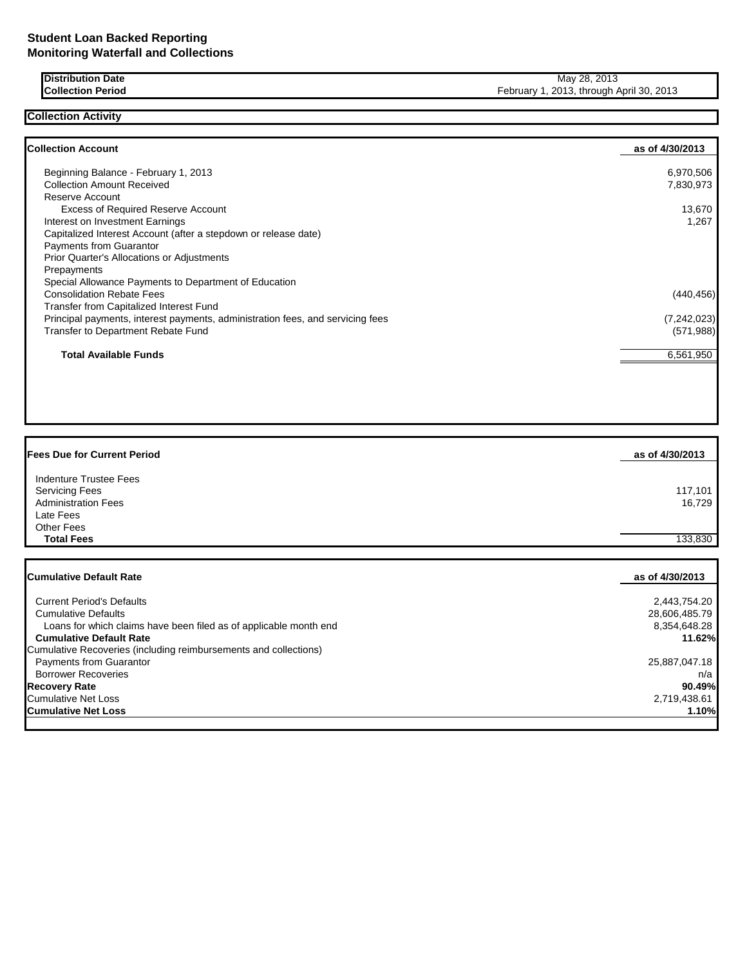**Collection Activity**

**Distribution Date** May 28, 2013<br>**Collection Period** May 28, 2013, through A February 1, 2013, through April 30, 2013

| <b>Collection Account</b>                                                      | as of 4/30/2013 |
|--------------------------------------------------------------------------------|-----------------|
| Beginning Balance - February 1, 2013                                           | 6,970,506       |
| <b>Collection Amount Received</b>                                              | 7,830,973       |
| Reserve Account                                                                |                 |
| <b>Excess of Required Reserve Account</b>                                      | 13,670          |
| Interest on Investment Earnings                                                | 1,267           |
| Capitalized Interest Account (after a stepdown or release date)                |                 |
| <b>Payments from Guarantor</b>                                                 |                 |
| <b>Prior Quarter's Allocations or Adjustments</b>                              |                 |
| Prepayments                                                                    |                 |
| Special Allowance Payments to Department of Education                          |                 |
| <b>Consolidation Rebate Fees</b>                                               | (440, 456)      |
| Transfer from Capitalized Interest Fund                                        |                 |
| Principal payments, interest payments, administration fees, and servicing fees | (7, 242, 023)   |
| Transfer to Department Rebate Fund                                             | (571, 988)      |
| <b>Total Available Funds</b>                                                   | 6,561,950       |

| <b>Fees Due for Current Period</b>                                | as of 4/30/2013 |
|-------------------------------------------------------------------|-----------------|
| Indenture Trustee Fees                                            |                 |
| <b>Servicing Fees</b>                                             | 117,101         |
| <b>Administration Fees</b>                                        | 16,729          |
| Late Fees                                                         |                 |
| <b>Other Fees</b>                                                 |                 |
| <b>Total Fees</b>                                                 | 133,830         |
|                                                                   |                 |
|                                                                   |                 |
| <b>Cumulative Default Rate</b>                                    | as of 4/30/2013 |
| <b>Current Period's Defaults</b>                                  | 2,443,754.20    |
| <b>Cumulative Defaults</b>                                        | 28,606,485.79   |
| Loans for which claims have been filed as of applicable month end | 8,354,648.28    |
| <b>Cumulative Default Rate</b>                                    | 11.62%          |
| Cumulative Recoveries (including reimbursements and collections)  |                 |
| Payments from Guarantor                                           | 25,887,047.18   |
| <b>Borrower Recoveries</b>                                        | n/a             |
| <b>Recovery Rate</b>                                              | 90.49%          |
| <b>Cumulative Net Loss</b>                                        | 2,719,438.61    |
| <b>Cumulative Net Loss</b>                                        | 1.10%           |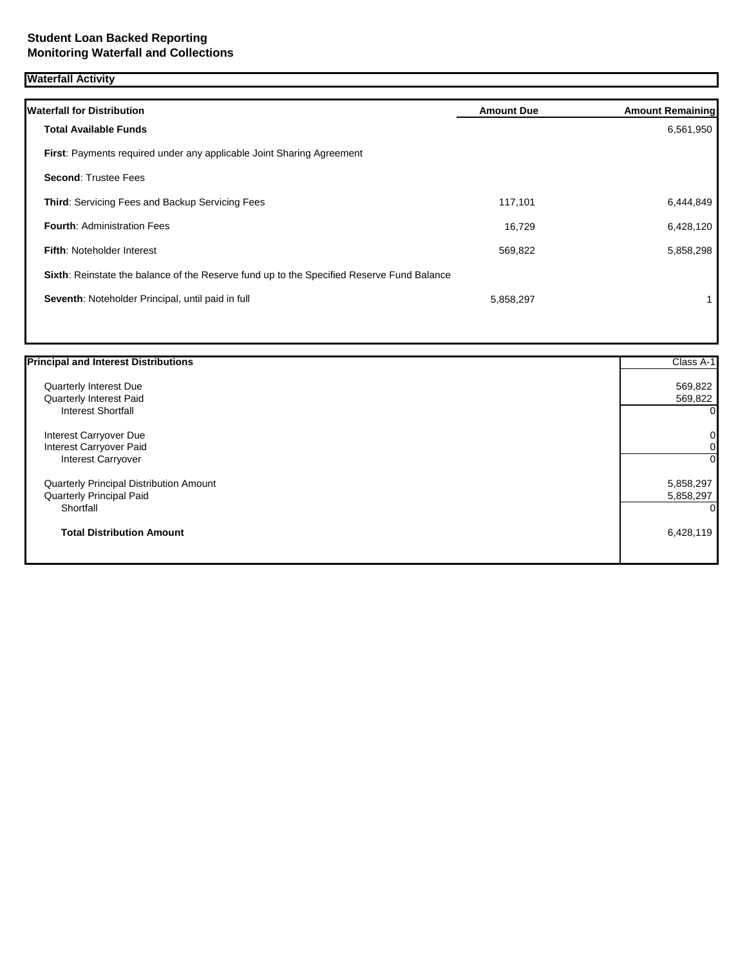## **Waterfall Activity**

| <b>Waterfall for Distribution</b>                                                         | <b>Amount Due</b> | <b>Amount Remaining</b> |
|-------------------------------------------------------------------------------------------|-------------------|-------------------------|
| <b>Total Available Funds</b>                                                              |                   | 6,561,950               |
| <b>First:</b> Payments required under any applicable Joint Sharing Agreement              |                   |                         |
| <b>Second: Trustee Fees</b>                                                               |                   |                         |
| <b>Third: Servicing Fees and Backup Servicing Fees</b>                                    | 117,101           | 6,444,849               |
| <b>Fourth: Administration Fees</b>                                                        | 16,729            | 6,428,120               |
| <b>Fifth: Noteholder Interest</b>                                                         | 569,822           | 5,858,298               |
| Sixth: Reinstate the balance of the Reserve fund up to the Specified Reserve Fund Balance |                   |                         |
| Seventh: Noteholder Principal, until paid in full                                         | 5,858,297         |                         |
|                                                                                           |                   |                         |

| <b>Principal and Interest Distributions</b> | Class A-1      |
|---------------------------------------------|----------------|
| Quarterly Interest Due                      | 569,822        |
| Quarterly Interest Paid                     | 569,822        |
| Interest Shortfall                          | $\Omega$       |
| Interest Carryover Due                      | $\pmb{0}$      |
| Interest Carryover Paid                     | 0              |
| <b>Interest Carryover</b>                   | $\overline{0}$ |
| Quarterly Principal Distribution Amount     | 5,858,297      |
| Quarterly Principal Paid                    | 5,858,297      |
| Shortfall                                   | 0              |
| <b>Total Distribution Amount</b>            | 6,428,119      |
|                                             |                |